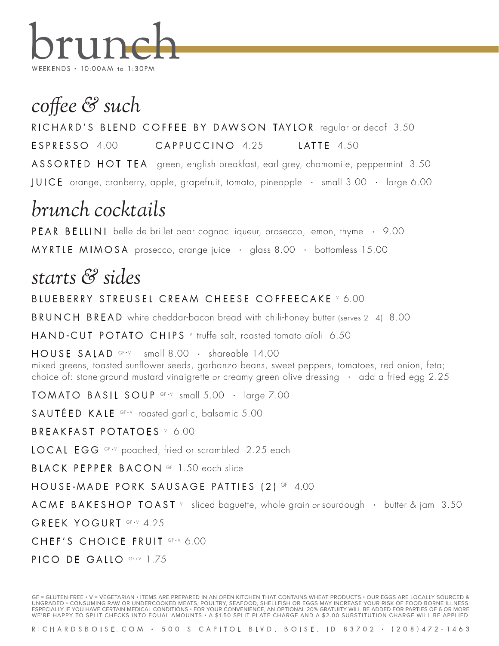

### *coffee & such*

RICHARD'S BLEND COFFEE BY DAWSON TAYLOR regular or decaf 3.50

ESPRESSO 4.00 CAPPUCCINO 4.25 LATTE 4.50

ASSORTED HOT TEA green, english breakfast, earl grey, chamomile, peppermint 3.50

JUICE orange, cranberry, apple, grapefruit, tomato, pineapple • small 3.00 • large 6.00

# *brunch cocktails*

PEAR BELLINI belle de brillet pear cognac liqueur, prosecco, lemon, thyme • 9.00

MYRTLE MIMOSA prosecco, orange juice • glass 8.00 • bottomless 15.00

## *starts & sides*

#### BLUEBERRY STREUSEL CREAM CHEESE COFFEECAKE V 6.00

BRUNCH BREAD white cheddar-bacon bread with chili-honey butter (serves 2 - 4) 8.00

HAND-CUT POTATO CHIPS V truffe salt, roasted tomato aïoli 6.50

 $HOUSE$   $SALAD$  GF-V small  $8.00$  · shareable 14.00 mixed greens, toasted sunflower seeds, garbanzo beans, sweet peppers, tomatoes, red onion, feta; choice of: stone-ground mustard vinaigrette or creamy green olive dressing • add a fried egg 2.25

 **GF-V small**  $5.00 + \text{large } 7.00$ 

SAUTÉED KALE GF-V roasted garlic, balsamic 5.00

BREAKFAST POTATOES V 6.00

LOCAL EGG GF-V poached, fried or scrambled 2.25 each

BLACK PEPPER BACON GF 1.50 each slice

HOUSE-MADE PORK SAUSAGE PATTIES (2) GF 4.00

ACME BAKESHOP TOAST  $\vee$  sliced baguette, whole grain or sourdough  $\cdot$  butter & jam 3.50

GREEK YOGURT GF+V 4.25

CHEF'S CHOICE FRUIT GF-V 6.00

PICO DE GALLO GF·V 1.75